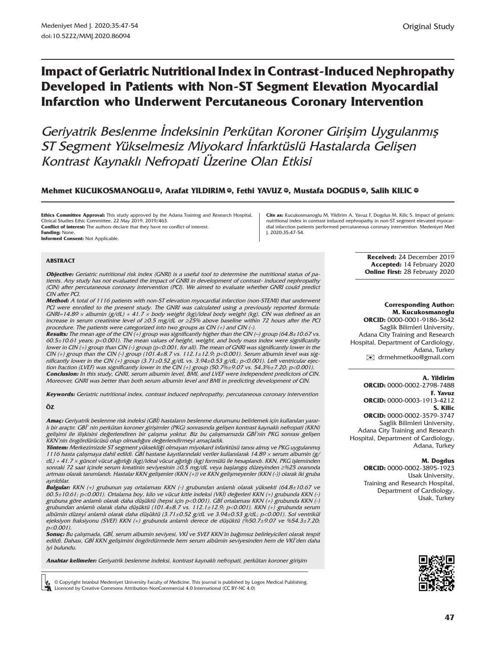# **Impact of Geriatric Nutritional Index in Contrast-Induced Nephropathy Developed in Patients with Non-ST Segment Elevation Myocardial Infarction who Underwent Percutaneous Coronary Intervention**

Geriyatrik Beslenme İndeksinin Perkütan Koroner Girişim Uygulanmış ST Segment Yükselmesiz Miyokard İnfarktüslü Hastalarda Gelişen Kontrast Kaynaklı Nefropati Üzerine Olan Etkisi

#### $\blacksquare$ Mehmet KUCUKOSMANOGL[U](http://orcid.org/0000-0001-9186-3642) ®, Arafat YILDIRI[M](http://orcid.org/0000-0002-2798-7488) ®, Fethi YAVUZ ®, Mustafa DOGDUS ®, Salih KILIC ®

**Ethics Committee Approval:** This study approved by the Adana Training and Research Hospital, Clinical Studies Ethic Committee, 22 May 2019, 2019/463. **Conflict of interest:** The authors declare that they have no conflict of interest. **Funding:** None.

**Informed Consent:** Not Applicable.

#### **ABSTRACT**

**Objective:** Geriatric nutritional risk index (GNRI) is a useful tool to determine the nutritional status of patients. Any study has not evaluated the impact of GNRI in development of contrast- induced nephropathy (CIN) after percutaneous coronary intervention (PCI). We aimed to evaluate whether GNRI could predict CIN after PCI.

**Method:** A total of 1116 patients with non-ST elevation myocardial infarction (non-STEMI) that underwent PCI were enrolled to the present study. The GNRI was calculated using a previously reported formula: GNRI=14.89 × albumin (g/dL) + 41.7 × body weight (kg)/ideal body weight (kg). CIN was defined as an increase in serum creatinine level of ≥0.5 mg/dL or ≥25% above baseline within 72 hours after the PCI procedure. The patients were categorized into two groups as CIN (+) and CIN (-).

**Results:** The mean age of the CIN (+) group was significantly higher than the CIN (–) group (64.8±10.67 vs. 60.5±10.61 years; p<0.001). The mean values of height, weight, and body mass index were significanlty lower in CIN (+) group than CIN (-) group (p<0.001, for all). The mean of GNRI was significantly lower in the CIN (+) group than the CIN (-) group (101.4±8.7 vs. 112.1±12.9; p<0.001). Serum albumin level was significantly lower in the CIN (+) group (3.71±0.52 g/dL vs. 3.94±0.53 g/dL; p<0.001). Left ventricular ejection fraction (LVEF) was significantly lower in the CIN (+) group (50.7% $\pm$ 9.07 vs. 54.3% $\pm$ 7.20; p<0.001). **Conclusion:** In this study, GNRI, serum albumin level, BMI, and LVEF were independent predictors of CIN. Moreover, GNRI was better than both serum albumin level and BMI in predicting development of CIN.

**Keywords:** Geriatric nutritional index, contrast induced nephropathy, percutaneous coronary intervention

#### **ÖZ**

**Amaç:** Geriyatrik beslenme risk indeksi (GBİ) hastaların beslenme durumunu belirlemek için kullanılan yararlı bir araçtır. GBİ' nin perkütan koroner girişimler (PKG) sonrasında gelişen kontrast kaynaklı nefropati (KKN) gelişimi ile ilişkisini değerlendiren bir çalışma yoktur. Biz bu çalışmamızda GBİ'nin PKG sonrası gelişen KKN'nin öngördürücüsü olup olmadığını değerlendirmeyi amaçladık.

**Yöntem:** Merkezimizde ST segment yüksekliği olmayan miyokard infarktüsü tanısı almış ve PKG uygulanmış 1116 hasta çalışmaya dahil edildi. GBİ hastane kayıtlarındaki veriler kullanılarak 14.89 × serum albumin (g/ dL) + 41.7 × güncel vücut ağırlığı (kg)/ideal vücut ağırlığı (kg) formülü ile hesaplandı. KKN, PKG işleminden sonraki 72 saat içinde serum kreatinin seviyesinin ≥0,5 mg/dL veya başlangış düzeyinden ≥%25 oranında artması olarak tanımlandı. Hastalar KKN gelişenler (KKN (+)) ve KKN gelişmeyenler (KKN (-)) olarak iki gruba ayrıldılar.

**Bulgular:** KKN (+) grubunun yaş ortalaması KKN (-) grubundan anlamlı olarak yüksekti (64.8±10.67 ve 60.5±10.61; p<0.001). Ortalama boy, kilo ve vücut kitle indeksi (VKİ) değerleri KKN (+) grubunda KKN (-) grubuna göre anlamlı olarak daha düşüktü (hepsi için p<0.001). GBİ ortalaması KKN (+) grubunda KKN (-) grubundan anlamlı olarak daha düşüktü (101.4±8.7 vs. 112.1±12.9; p<0.001). KKN (+) grubunda serum albümin düzeyi anlamlı olarak daha düşüktü (3.71±0.52 g/dL ve 3.94±0.53 g/dL; p<0.001). Sol ventrikül ejeksiyon fraksiyonu (SVEF) KKN (+) grubunda anlamlı derece de düşüktü (%50.7±9.07 ve %54.3±7.20; p<0.001).

**Sonuç:** Bu çalışmada, GBİ, serum albumin seviyesi, VKİ ve SVEF KKN'in bağımsız belirleyicileri olarak tespit edildi. Dahası, GBİ KKN gelişimini öngördürmede hem serum albümin seviyesinden hem de VKİ'den daha iyi bulundu.

**Anahtar kelimeler:** Geriyatrik beslenme indeksi, kontrast kaynaklı nefropati, perkütan koroner girişim

© Copyright Istanbul Medeniyet University Faculty of Medicine. This journal is published by Logos Medical Publishing. Licenced by Creative Commons Attribution-NonCommercial 4.0 International (CC BY-NC 4.0)

**Cite as:** Kucukosmanoglu M, Yildirim A, Yavuz F, Dogdus M, Kilic S. Impact of geriatric nutritional index in contrast induced nephropathy in non-ST segment elevated myocardial infarction patients performed percutaneous coronary intervention. Medeniyet Med J. 2020;35:47-54.

> **Received:** 24 December 2019 **Accepted:** 14 February 2020 **Online First:** 28 February 2020

#### **Corresponding Author: M. Kucukosmanoglu**

**ORCID:** 0000-0001-9186-3642 Saglik Bilimleri University, Adana City Training and Research Hospital, Department of Cardiology, Adana, Turkey [✉](mailto:drmehmetkoo@gmail.com) drmehmetkoo@gmail.com

#### **A. Yildirim**

**ORCID:** 0000-0002-2798-7488 **F. Yavuz ORCID:** 0000-0003-1913-4212 **S. Kilic ORCID:** 0000-0002-3579-3747 Saglik Bilimleri University, Adana City Training and Research Hospital, Department of Cardiology, Adana, Turkey

#### **M. Dogdus**

**ORCID:** 0000-0002-3895-1923 Usak University, Training and Research Hospital, Department of Cardiology, Usak, Turkey

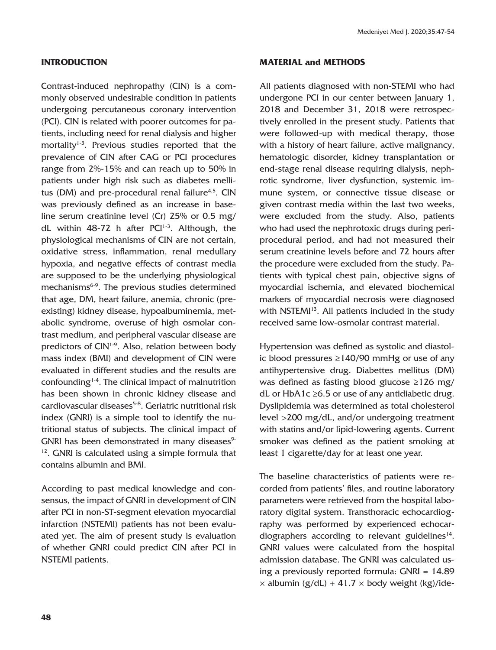## **INTRODUCTION**

Contrast-induced nephropathy (CIN) is a commonly observed undesirable condition in patients undergoing percutaneous coronary intervention (PCI). CIN is related with poorer outcomes for patients, including need for renal dialysis and higher mortality<sup>1-3</sup>. Previous studies reported that the prevalence of CIN after CAG or PCI procedures range from 2%-15% and can reach up to 50% in patients under high risk such as diabetes mellitus (DM) and pre-procedural renal failure<sup>4,5</sup>. CIN was previously defined as an increase in baseline serum creatinine level (Cr) 25% or 0.5 mg/ dL within  $48-72$  h after PCI<sup>1-3</sup>. Although, the physiological mechanisms of CIN are not certain, oxidative stress, inflammation, renal medullary hypoxia, and negative effects of contrast media are supposed to be the underlying physiological mechanisms<sup>6-9</sup>. The previous studies determined that age, DM, heart failure, anemia, chronic (preexisting) kidney disease, hypoalbuminemia, metabolic syndrome, overuse of high osmolar contrast medium, and peripheral vascular disease are predictors of CIN<sup>1-9</sup>. Also, relation between body mass index (BMI) and development of CIN were evaluated in different studies and the results are confounding $1-4$ . The clinical impact of malnutrition has been shown in chronic kidney disease and cardiovascular diseases<sup>5-8</sup>. Geriatric nutritional risk index (GNRI) is a simple tool to identify the nutritional status of subjects. The clinical impact of GNRI has been demonstrated in many diseases<sup>9-</sup> 12. GNRI is calculated using a simple formula that contains albumin and BMI.

According to past medical knowledge and consensus, the impact of GNRI in development of CIN after PCI in non-ST-segment elevation myocardial infarction (NSTEMI) patients has not been evaluated yet. The aim of present study is evaluation of whether GNRI could predict CIN after PCI in NSTEMI patients.

## **MATERIAL and METHODS**

All patients diagnosed with non-STEMI who had undergone PCI in our center between January 1, 2018 and December 31, 2018 were retrospectively enrolled in the present study. Patients that were followed-up with medical therapy, those with a history of heart failure, active malignancy, hematologic disorder, kidney transplantation or end-stage renal disease requiring dialysis, nephrotic syndrome, liver dysfunction, systemic immune system, or connective tissue disease or given contrast media within the last two weeks, were excluded from the study. Also, patients who had used the nephrotoxic drugs during periprocedural period, and had not measured their serum creatinine levels before and 72 hours after the procedure were excluded from the study. Patients with typical chest pain, objective signs of myocardial ischemia, and elevated biochemical markers of myocardial necrosis were diagnosed with NSTEMI<sup>13</sup>. All patients included in the study received same low-osmolar contrast material.

Hypertension was defined as systolic and diastolic blood pressures ≥140/90 mmHg or use of any antihypertensive drug. Diabettes mellitus (DM) was defined as fasting blood glucose ≥126 mg/ dL or HbA1c  $\geq$ 6.5 or use of any antidiabetic drug. Dyslipidemia was determined as total cholesterol level >200 mg/dL, and/or undergoing treatment with statins and/or lipid-lowering agents. Current smoker was defined as the patient smoking at least 1 cigarette/day for at least one year.

The baseline characteristics of patients were recorded from patients' files, and routine laboratory parameters were retrieved from the hospital laboratory digital system. Transthoracic echocardiography was performed by experienced echocardiographers according to relevant guidelines $14$ . GNRI values were calculated from the hospital admission database. The GNRI was calculated using a previously reported formula: GNRI = 14.89  $\times$  albumin (g/dL) + 41.7  $\times$  body weight (kg)/ide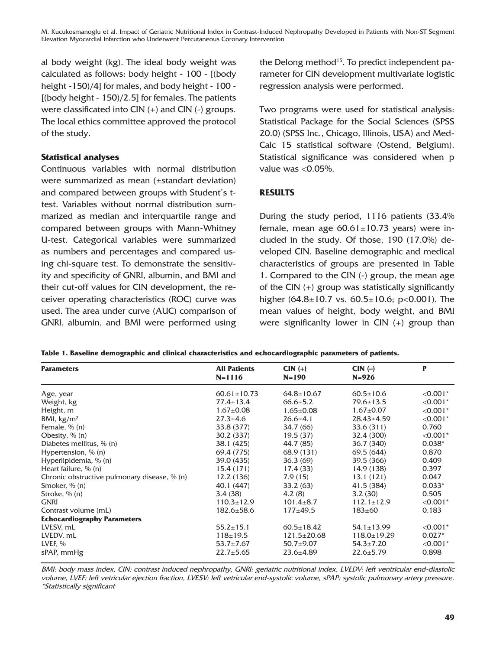M. Kucukosmanoglu et al. Impact of Geriatric Nutritional Index in Contrast-Induced Nephropathy Developed in Patients with Non-ST Segment Elevation Myocardial Infarction who Underwent Percutaneous Coronary Intervention

al body weight (kg). The ideal body weight was calculated as follows: body height - 100 - [(body height -150)/4] for males, and body height - 100 - $[(body height - 150)/2.5]$  for females. The patients were classificated into CIN (+) and CIN (-) groups. The local ethics committee approved the protocol of the study.

### **Statistical analyses**

Continuous variables with normal distribution were summarized as mean (±standart deviation) and compared between groups with Student's ttest. Variables without normal distribution summarized as median and interquartile range and compared between groups with Mann-Whitney U-test. Categorical variables were summarized as numbers and percentages and compared using chi-square test. To demonstrate the sensitivity and specificity of GNRI, albumin, and BMI and their cut-off values for CIN development, the receiver operating characteristics (ROC) curve was used. The area under curve (AUC) comparison of GNRI, albumin, and BMI were performed using the Delong method<sup>15</sup>. To predict independent parameter for CIN development multivariate logistic regression analysis were performed.

Two programs were used for statistical analysis: Statistical Package for the Social Sciences (SPSS 20.0) (SPSS Inc., Chicago, Illinois, USA) and Med-Calc 15 statistical software (Ostend, Belgium). Statistical significance was considered when p value was  $< 0.05\%$ .

## **RESULTS**

During the study period, 1116 patients (33.4% female, mean age  $60.61 \pm 10.73$  years) were included in the study. Of those, 190 (17.0%) developed CIN. Baseline demographic and medical characteristics of groups are presented in Table 1. Compared to the CIN (-) group, the mean age of the CIN (+) group was statistically significantly higher  $(64.8 \pm 10.7 \text{ vs. } 60.5 \pm 10.6; \text{ p} < 0.001)$ . The mean values of height, body weight, and BMI were significanlty lower in CIN (+) group than

| <b>Parameters</b>                            | <b>All Patients</b><br>$N = 1116$ | $CIN (+)$<br>$N = 190$ | $CIN$ $(-)$<br>$N = 926$ | P          |
|----------------------------------------------|-----------------------------------|------------------------|--------------------------|------------|
| Age, year                                    | $60.61 \pm 10.73$                 | $64.8 \pm 10.67$       | $60.5 \pm 10.6$          | $< 0.001*$ |
| Weight, kg                                   | $77.4 \pm 13.4$                   | $66.6 \pm 5.2$         | $79.6 \pm 13.5$          | $< 0.001*$ |
| Height, m                                    | $1.67 \pm 0.08$                   | $1.65 \pm 0.08$        | $1.67 \pm 0.07$          | $< 0.001*$ |
| BMI, $kg/m2$                                 | $27.3 + 4.6$                      | $26.6 + 4.1$           | $28.43 \pm 4.59$         | $< 0.001*$ |
| Female, $% (n)$                              | 33.8 (377)                        | 34.7 (66)              | 33.6 (311)               | 0.760      |
| Obesity, $\%$ (n)                            | 30.2 (337)                        | 19.5(37)               | 32.4 (300)               | $< 0.001*$ |
| Diabetes mellitus, % (n)                     | 38.1 (425)                        | 44.7 (85)              | 36.7 (340)               | $0.038*$   |
| Hypertension, $\%$ (n)                       | 69.4 (775)                        | 68.9(131)              | 69.5(644)                | 0.870      |
| Hyperlipidemia, % (n)                        | 39.0 (435)                        | 36.3(69)               | 39.5 (366)               | 0.409      |
| Heart failure, % (n)                         | 15.4 (171)                        | 17.4(33)               | 14.9 (138)               | 0.397      |
| Chronic obstructive pulmonary disease, % (n) | 12.2(136)                         | 7.9(15)                | 13.1 (121)               | 0.047      |
| Smoker, $\%$ (n)                             | 40.1 (447)                        | 33.2(63)               | 41.5 (384)               | $0.033*$   |
| Stroke, % (n)                                | 3.4(38)                           | 4.2(8)                 | 3.2(30)                  | 0.505      |
| <b>GNRI</b>                                  | $110.3 \pm 12.9$                  | $101.4 \pm 8.7$        | $112.1 \pm 12.9$         | $< 0.001*$ |
| Contrast volume (mL)                         | $182.6 \pm 58.6$                  | $177 + 49.5$           | $183 \pm 60$             | 0.183      |
| <b>Echocardiography Parameters</b>           |                                   |                        |                          |            |
| LVESV, mL                                    | $55.2 \pm 15.1$                   | $60.5 \pm 18.42$       | $54.1 \pm 13.99$         | $< 0.001*$ |
| LVEDV, mL                                    | $118 \pm 19.5$                    | $121.5 \pm 20.68$      | $118.0 \pm 19.29$        | $0.027*$   |
| LVEF, %                                      | $53.7 \pm 7.67$                   | $50.7 + 9.07$          | $54.3 \pm 7.20$          | $< 0.001*$ |
| sPAP, mmHg                                   | $22.7 \pm 5.65$                   | $23.6 + 4.89$          | $22.6 + 5.79$            | 0.898      |

| Table 1. Baseline demographic and clinical characteristics and echocardiographic parameters of patients. |  |  |
|----------------------------------------------------------------------------------------------------------|--|--|
|----------------------------------------------------------------------------------------------------------|--|--|

BMI: body mass index, CIN: contrast induced nephropathy, GNRI: geriatric nutritional index, LVEDV: left ventricular end-diastolic volume, LVEF: left vetricular ejection fraction, LVESV: left vetricular end-systolic volume, sPAP: systolic pulmonary artery pressure. \*Statistically significant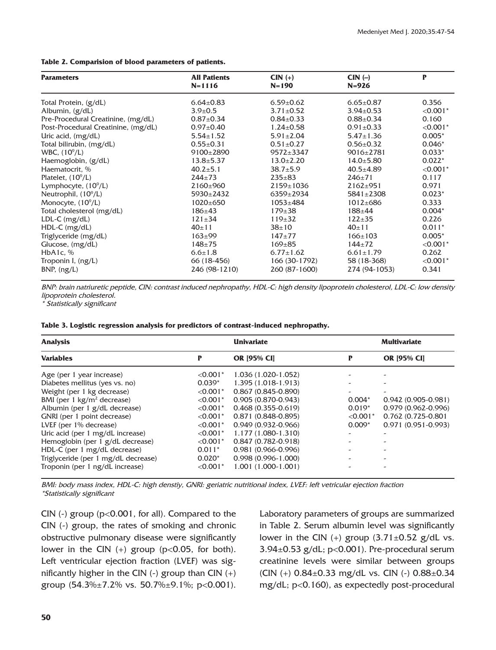**Table 2. Comparision of blood parameters of patients.**

| <b>Parameters</b>                   | <b>All Patients</b><br>$N = 1116$ | $CIN (+)$<br>$N = 190$ | $CIN$ $(-)$<br>$N = 926$ | P          |
|-------------------------------------|-----------------------------------|------------------------|--------------------------|------------|
|                                     |                                   |                        |                          |            |
| Total Protein, (g/dL)               | $6.64 \pm 0.83$                   | $6.59 \pm 0.62$        | $6.65 \pm 0.87$          | 0.356      |
| Albumin, $(g/dL)$                   | $3.9 \pm 0.5$                     | $3.71 \pm 0.52$        | $3.94 \pm 0.53$          | $< 0.001*$ |
| Pre-Procedural Creatinine, (mg/dL)  | $0.87 \pm 0.34$                   | $0.84 \pm 0.33$        | $0.88 \pm 0.34$          | 0.160      |
| Post-Procedural Creatinine, (mg/dL) | $0.97 \pm 0.40$                   | $1.24 \pm 0.58$        | $0.91 \pm 0.33$          | $< 0.001*$ |
| Uric acid, $(mg/dL)$                | $5.54 \pm 1.52$                   | $5.91 \pm 2.04$        | $5.47 \pm 1.36$          | $0.005*$   |
| Total bilirubin, (mg/dL)            | $0.55 \pm 0.31$                   | $0.51 \pm 0.27$        | $0.56 \pm 0.32$          | $0.046*$   |
| WBC, (10 <sup>9</sup> /L)           | $9100+2890$                       | $9572 \pm 3347$        | $9016 \pm 2781$          | $0.033*$   |
| Haemoglobin, (g/dL)                 | $13.8 \pm 5.37$                   | $13.0 \pm 2.20$        | $14.0 \pm 5.80$          | $0.022*$   |
| Haematocrit, %                      | $40.2 \pm 5.1$                    | $38.7 \pm 5.9$         | $40.5 + 4.89$            | $< 0.001*$ |
| Platelet, $(10^9/L)$                | $244 + 73$                        | $235 \pm 83$           | $246 + 71$               | 0.117      |
| Lymphocyte, $(10^9/L)$              | $2160+960$                        | $2159 \pm 1036$        | $2162 + 951$             | 0.971      |
| Neutrophil, $(10^9/L)$              | $5930 \pm 2432$                   | $6359 \pm 2934$        | $5841 \pm 2308$          | $0.023*$   |
| Monocyte, $(10^9/L)$                | 1020±650                          | $1053 \pm 484$         | $1012 \pm 686$           | 0.333      |
| Total cholesterol (mg/dL)           | $186 + 43$                        | $179 \pm 38$           | $188 + 44$               | $0.004*$   |
| LDL-C (mg/dL)                       | $121 \pm 34$                      | $119+32$               | $122 + 35$               | 0.226      |
| $HDL-C$ (mg/dL)                     | $40 \pm 11$                       | $38 + 10$              | $40 \pm 11$              | $0.011*$   |
| Triglyceride (mg/dL)                | $163 + 99$                        | $147+77$               | $166 \pm 103$            | $0.005*$   |
| Glucose, (mg/dL)                    | $148 + 75$                        | $169 + 85$             | $144 + 72$               | $< 0.001*$ |
| HbA1c, %                            | $6.6 \pm 1.8$                     | $6.77 \pm 1.62$        | $6.61 \pm 1.79$          | 0.262      |
| Troponin I, (ng/L)                  | 66 (18-456)                       | 166 (30-1792)          | 58 (18-368)              | $< 0.001*$ |
| BNP, (ng/L)                         | 246 (98-1210)                     | 260 (87-1600)          | 274 (94-1053)            | 0.341      |

BNP: brain natriuretic peptide, CIN: contrast induced nephropathy, HDL-C: high density lipoprotein cholesterol, LDL-C: low density lipoprotein cholesterol.

\* Statistically significant

**Table 3. Logistic regression analysis for predictors of contrast-induced nephropathy.**

| <b>Analysis</b>                     |                        | <b>Univariate</b>      |            | <b>Multivariate</b>    |  |
|-------------------------------------|------------------------|------------------------|------------|------------------------|--|
| <b>Variables</b>                    | P                      | <b>OR [95% CI]</b>     | P          | <b>OR [95% CI]</b>     |  |
| Age (per 1 year increase)           | $< 0.001$ <sup>*</sup> | 1.036 (1.020-1.052)    |            |                        |  |
| Diabetes mellitus (yes vs. no)      | $0.039*$               | 1.395 (1.018-1.913)    |            |                        |  |
| Weight (per 1 kg decrease)          | $< 0.001*$             | $0.867(0.845 - 0.890)$ | -          |                        |  |
| BMI (per 1 $kg/m2$ decrease)        | $< 0.001*$             | $0.905(0.870 - 0.943)$ | $0.004*$   | $0.942(0.905 - 0.981)$ |  |
| Albumin (per 1 g/dL decrease)       | $< 0.001*$             | $0.468(0.355 - 0.619)$ | $0.019*$   | $0.979(0.962 - 0.996)$ |  |
| GNRI (per 1 point decrease)         | $< 0.001*$             | $0.871(0.848 - 0.895)$ | $< 0.001*$ | 0.762 (0.725-0.801     |  |
| LVEF (per 1% decrease)              | $< 0.001*$             | $0.949(0.932 - 0.966)$ | $0.009*$   | $0.971(0.951 - 0.993)$ |  |
| Uric acid (per 1 mg/dL increase)    | $< 0.001$ <sup>*</sup> | 1.177 (1.080-1.310)    |            |                        |  |
| Hemoglobin (per 1 g/dL decrease)    | $< 0.001*$             | $0.847(0.782 - 0.918)$ |            |                        |  |
| HDL-C (per 1 mg/dL decrease)        | $0.011*$               | $0.981(0.966 - 0.996)$ |            | -                      |  |
| Triglyceride (per 1 mg/dL decrease) | $0.020*$               | $0.998(0.996 - 1.000)$ |            | -                      |  |
| Troponin (per 1 ng/dL increase)     | $< 0.001*$             | $1.001(1.000-1.001)$   |            |                        |  |

BMI: body mass index, HDL-C: high denstiy, GNRI: geriatric nutritional index, LVEF: left vetricular ejection fraction \*Statistically significant

CIN  $(-)$  group ( $p<0.001$ , for all). Compared to the CIN (-) group, the rates of smoking and chronic obstructive pulmonary disease were significantly lower in the CIN  $(+)$  group (p<0.05, for both). Left ventricular ejection fraction (LVEF) was significantly higher in the CIN  $(-)$  group than CIN  $(+)$ group  $(54.3\% \pm 7.2\% \text{ vs. } 50.7\% \pm 9.1\% \text{ ; } p < 0.001)$ .

Laboratory parameters of groups are summarized in Table 2. Serum albumin level was significantly lower in the CIN  $(+)$  group  $(3.71\pm0.52$  g/dL vs. 3.94±0.53 g/dL; p<0.001). Pre-procedural serum creatinine levels were similar between groups (CIN (+) 0.84±0.33 mg/dL vs. CIN (-) 0.88±0.34 mg/dL; p<0.160), as expectedly post-procedural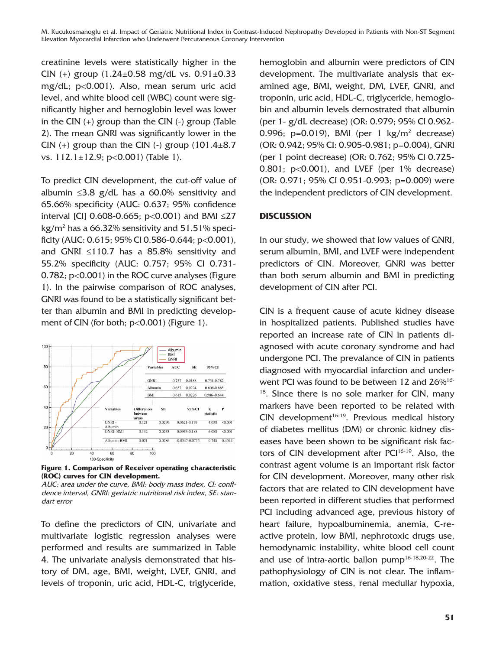M. Kucukosmanoglu et al. Impact of Geriatric Nutritional Index in Contrast-Induced Nephropathy Developed in Patients with Non-ST Segment Elevation Myocardial Infarction who Underwent Percutaneous Coronary Intervention

creatinine levels were statistically higher in the CIN (+) group  $(1.24 \pm 0.58 \text{ mg/dL} \text{ vs. } 0.91 \pm 0.33 \text{ m}$ mg/dL; p<0.001). Also, mean serum uric acid level, and white blood cell (WBC) count were significantly higher and hemoglobin level was lower in the CIN  $(+)$  group than the CIN  $(-)$  group (Table 2). The mean GNRI was significantly lower in the CIN  $(+)$  group than the CIN  $(-)$  group  $(101.4\pm8.7)$ vs.  $112.1 \pm 12.9$ ; p<0.001) (Table 1).

To predict CIN development, the cut-off value of albumin ≤3.8 g/dL has a 60.0% sensitivity and 65.66% specificity (AUC: 0.637; 95% confidence interval [CI] 0.608-0.665;  $p<0.001$ ) and BMI  $\leq$ 27 kg/m $^2$  has a 66.32% sensitivity and 51.51% specificity (AUC: 0.615; 95% CI 0.586-0.644; p<0.001), and GNRI ≤110.7 has a 85.8% sensitivity and 55.2% specificity (AUC: 0.757; 95% CI 0.731- 0.782; p<0.001) in the ROC curve analyses (Figure 1). In the pairwise comparison of ROC analyses, GNRI was found to be a statistically significant better than albumin and BMI in predicting development of CIN (for both;  $p<0.001$ ) (Figure 1).



**Figure 1. Comparison of Receiver operating characteristic (ROC) curves for CIN development.**

To define the predictors of CIN, univariate and multivariate logistic regression analyses were performed and results are summarized in Table 4. The univariate analysis demonstrated that history of DM, age, BMI, weight, LVEF, GNRI, and levels of troponin, uric acid, HDL-C, triglyceride,

hemoglobin and albumin were predictors of CIN development. The multivariate analysis that examined age, BMI, weight, DM, LVEF, GNRI, and troponin, uric acid, HDL-C, triglyceride, hemoglobin and albumin levels demostrated that albumin (per 1- g/dL decrease) (OR: 0.979; 95% CI 0.962- 0.996;  $p=0.019$ ), BMI (per 1 kg/m<sup>2</sup> decrease) (OR: 0.942; 95% CI: 0.905-0.981; p=0.004), GNRI (per 1 point decrease) (OR: 0.762; 95% CI 0.725-  $0.801$ ;  $p<0.001$ ), and LVEF (per 1% decrease) (OR: 0.971; 95% CI 0.951-0.993; p=0.009) were the independent predictors of CIN development.

### **DISCUSSION**

In our study, we showed that low values of GNRI, serum albumin, BMI, and LVEF were independent predictors of CIN. Moreover, GNRI was better than both serum albumin and BMI in predicting development of CIN after PCI.

CIN is a frequent cause of acute kidney disease in hospitalized patients. Published studies have reported an increase rate of CIN in patients diagnosed with acute coronary syndrome and had undergone PCI. The prevalance of CIN in patients diagnosed with myocardial infarction and underwent PCI was found to be between 12 and 26%<sup>16-</sup> <sup>18</sup>. Since there is no sole marker for CIN, many markers have been reported to be related with  $CIN$  development<sup>16-19</sup>. Previous medical history of diabetes mellitus (DM) or chronic kidney diseases have been shown to be significant risk factors of CIN development after PCI<sup>16-19</sup>. Also, the contrast agent volume is an important risk factor for CIN development. Moreover, many other risk factors that are related to CIN development have been reported in different studies that performed PCI including advanced age, previous history of heart failure, hypoalbuminemia, anemia, C-reactive protein, low BMI, nephrotoxic drugs use, hemodynamic instability, white blood cell count and use of intra-aortic ballon pump16-18,20-22. The pathophysiology of CIN is not clear. The inflammation, oxidative stess, renal medullar hypoxia,

AUC: area under the curve, BMI: body mass index, CI: confidence interval, GNRI: geriatric nutritional risk index, SE: standart error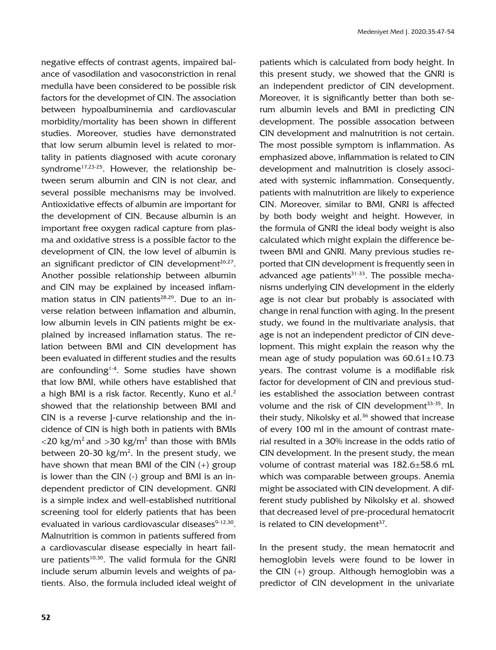negative effects of contrast agents, impaired balance of vasodilation and vasoconstriction in renal medulla have been considered to be possible risk factors for the developmet of CIN. The association between hypoalbuminemia and cardiovascular morbidity/mortality has been shown in different studies. Moreover, studies have demonstrated that low serum albumin level is related to mortality in patients diagnosed with acute coronary syndrome<sup>17,23-25</sup>. However, the relationship between serum albumin and CIN is not clear, and several possible mechanisms may be involved. Antioxidative effects of albumin are important for the development of CIN. Because albumin is an important free oxygen radical capture from plasma and oxidative stress is a possible factor to the development of CIN, the low level of albumin is an significant predictor of CIN development $26,27$ . Another possible relationship between albumin and CIN may be explained by inceased inflammation status in CIN patients<sup>28,29</sup>. Due to an inverse relation between inflamation and albumin, low albumin levels in CIN patients might be explained by increased inflamation status. The relation between BMI and CIN development has been evaluated in different studies and the results are confounding<sup>1-4</sup>. Some studies have shown that low BMI, while others have established that a high BMI is a risk factor. Recently, Kuno et al.<sup>2</sup> showed that the relationship between BMI and CIN is a reverse J-curve relationship and the incidence of CIN is high both in patients with BMIs  $<$ 20 kg/m<sup>2</sup> and  $>$ 30 kg/m<sup>2</sup> than those with BMIs between 20-30  $kg/m<sup>2</sup>$ . In the present study, we have shown that mean BMI of the CIN (+) group is lower than the CIN (-) group and BMI is an independent predictor of CIN development. GNRI is a simple index and well-established nutritional screening tool for elderly patients that has been evaluated in various cardiovascular diseases<sup>9-12,30</sup>. Malnutrition is common in patients suffered from a cardiovascular disease especially in heart failure patients<sup>10,30</sup>. The valid formula for the GNRI include serum albumin levels and weights of patients. Also, the formula included ideal weight of

patients which is calculated from body height. In this present study, we showed that the GNRI is an independent predictor of CIN development. Moreover, it is significantly better than both serum albumin levels and BMI in predicting CIN development. The possible assocation between CIN development and malnutrition is not certain. The most possible symptom is inflammation. As emphasized above, inflammation is related to CIN development and malnutrition is closely associated with systemic inflammation. Consequently, patients with malnutrition are likely to experience CIN. Moreover, similar to BMI, GNRI is affected by both body weight and height. However, in the formula of GNRI the ideal body weight is also calculated which might explain the difference between BMI and GNRI. Many previous studies reported that CIN development is frequently seen in advanced age patients $31-33$ . The possible mechanisms underlying CIN development in the elderly age is not clear but probably is associated with change in renal function with aging. In the present study, we found in the multivariate analysis, that age is not an independent predictor of CIN development. This might explain the reason why the mean age of study population was  $60.61 \pm 10.73$ years. The contrast volume is a modifiable risk factor for development of CIN and previous studies established the association between contrast volume and the risk of CIN development<sup>33-35</sup>. In their study, Nikolsky et al.<sup>36</sup> showed that increase of every 100 ml in the amount of contrast material resulted in a 30% increase in the odds ratio of CIN development. In the present study, the mean volume of contrast material was 182.6±58.6 mL which was comparable between groups. Anemia might be associated with CIN development. A different study published by Nikolsky et al. showed that decreased level of pre-procedural hematocrit is related to CIN development<sup>37</sup>.

In the present study, the mean hematocrit and hemoglobin levels were found to be lower in the CIN (+) group. Although hemoglobin was a predictor of CIN development in the univariate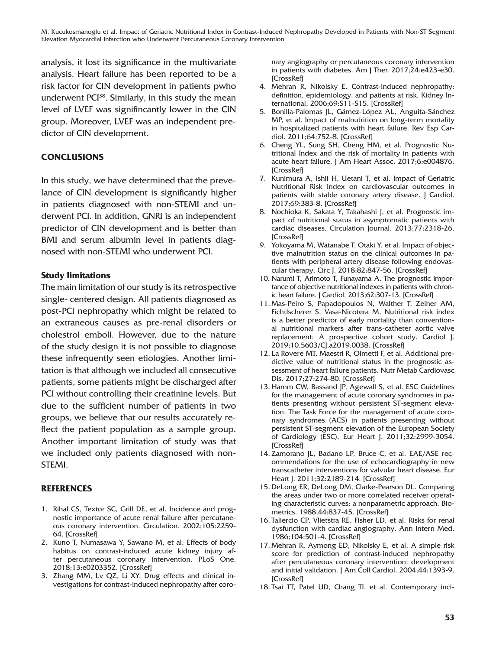M. Kucukosmanoglu et al. Impact of Geriatric Nutritional Index in Contrast-Induced Nephropathy Developed in Patients with Non-ST Segment Elevation Myocardial Infarction who Underwent Percutaneous Coronary Intervention

analysis, it lost its significance in the multivariate analysis. Heart failure has been reported to be a risk factor for CIN development in patients pwho underwent  $PCI^{38}$ . Similarly, in this study the mean level of LVEF was signifincantly lower in the CIN group. Moreover, LVEF was an independent predictor of CIN development.

### **CONCLUSIONS**

In this study, we have determined that the prevelance of CIN development is significantly higher in patients diagnosed with non-STEMI and underwent PCI. In addition, GNRI is an independent predictor of CIN development and is better than BMI and serum albumin level in patients diagnosed with non-STEMI who underwent PCI.

### **Study limitations**

The main limitation of our study is its retrospective single- centered design. All patients diagnosed as post-PCI nephropathy which might be related to an extraneous causes as pre-renal disorders or cholestrol emboli. However, due to the nature of the study design it is not possible to diagnose these infrequently seen etiologies. Another limitation is that although we included all consecutive patients, some patients might be discharged after PCI without controlling their creatinine levels. But due to the sufficient number of patients in two groups, we believe that our results accurately reflect the patient population as a sample group. Another important limitation of study was that we included only patients diagnosed with non-STEMI.

### **REFERENCES**

- 1. Rihal CS, Textor SC, Grill DE, et al. Incidence and prognostic importance of acute renal failure after percutaneous coronary intervention. Circulation. 2002;105:2259- 64. [\[CrossRef\]](https://doi.org/10.1161/01.CIR.0000016043.87291.33)
- 2. Kuno T, Numasawa Y, Sawano M, et al. Effects of body habitus on contrast-induced acute kidney injury after percutaneous coronary intervention. PLoS One. 2018;13:e0203352. [\[CrossRef\]](https://doi.org/10.1371/journal.pone.0203352)
- 3. Zhang MM, Lv QZ, Li XY. Drug effects and clinical investigations for contrast-induced nephropathy after coro-

nary angiography or percutaneous coronary intervention in patients with diabetes. Am J Ther. 2017;24:e423-e30. **[\[CrossRef\]](https://doi.org/10.1097/MJT.0000000000000325)** 

- 4. Mehran R, Nikolsky E. Contrast-induced nephropathy: definition, epidemiology, and patients at risk. Kidney International. 2006;69:S11-S15. [\[CrossRef\]](https://doi.org/10.1038/sj.ki.5000368)
- 5. Bonilla-Palomas JL, Gámez-López AL, Anguita-Sánchez MP, et al. Impact of malnutrition on long-term mortality in hospitalized patients with heart failure. Rev Esp Cardiol. 2011;64:752-8. [\[CrossRef\]](https://doi.org/10.1016/j.recesp.2011.03.009)
- 6. Cheng YL, Sung SH, Cheng HM, et al. Prognostic Nutritional Index and the risk of mortality in patients with acute heart failure. J Am Heart Assoc. 2017;6:e004876. **[\[CrossRef\]](https://doi.org/10.1161/JAHA.116.004876)**
- 7. Kunimura A, Ishii H, Uetani T, et al. Impact of Geriatric Nutritional Risk Index on cardiovascular outcomes in patients with stable coronary artery disease. J Cardiol. 2017;69:383-8. [\[CrossRef\]](https://doi.org/10.1016/j.jjcc.2016.09.004)
- 8. Nochioka K, Sakata Y, Takahashi J, et al. Prognostic impact of nutritional status in asymptomatic patients with cardiac diseases. Circulation Journal. 2013;77:2318-26. [\[CrossRef\]](https://doi.org/10.1253/circj.CJ-13-0127)
- 9. Yokoyama M, Watanabe T, Otaki Y, et al. Impact of objective malnutrition status on the clinical outcomes in patients with peripheral artery disease following endovascular therapy. Circ J. 2018;82:847-56. [\[CrossRef\]](https://doi.org/10.1253/circj.CJ-17-0731)
- 10. Narumi T, Arimoto T, Funayama A. The prognostic importance of objective nutritional indexes in patients with chronic heart failure. J Cardiol. 2013;62:307-13. [\[CrossRef\]](https://doi.org/10.1016/j.jjcc.2013.05.007)
- 11. Mas-Peiro S, Papadopoulos N, Walther T, Zeiher AM, Fichtlscherer S, Vasa-Nicotera M, Nutritional risk index is a better predictor of early mortality than conventional nutritional markers after trans-catheter aortic valve replacement: A prospective cohort study. Cardiol J. 2019;10.5603/CJ.a2019.0038. [\[CrossRef\]](https://doi.org/10.5603/CJ.a2019.0038)
- 12. La Rovere MT, Maestri R, Olmetti F, et al. Additional predictive value of nutritional status in the prognostic assessment of heart failure patients. Nutr Metab Cardiovasc Dis. 2017;27:274-80. [\[CrossRef\]](https://doi.org/10.1016/j.numecd.2016.09.009)
- 13. Hamm CW, Bassand JP, Agewall S, et al. ESC Guidelines for the management of acute coronary syndromes in patients presenting without persistent ST-segment elevation: The Task Force for the management of acute coronary syndromes (ACS) in patients presenting without persistent ST-segment elevation of the European Society of Cardiology (ESC). Eur Heart J. 2011;32:2999-3054. [\[CrossRef\]](https://doi.org/10.1093/eurheartj/ehr236)
- 14. Zamorano JL, Badano LP, Bruce C, et al. EAE/ASE recommendations for the use of echocardiography in new transcatheter interventions for valvular heart disease. Eur Heart J. 2011;32:2189-214. [\[CrossRef\]](https://doi.org/10.1093/eurheartj/ehr259)
- 15. DeLong ER, DeLong DM, Clarke-Pearson DL. Comparing the areas under two or more correlated receiver operating characteristic curves: a nonparametric approach. Biometrics. 1988;44:837-45. [\[CrossRef\]](https://doi.org/10.2307/2531595)
- 16. Taliercio CP, Vlietstra RE, Fisher LD, et al. Risks for renal dysfunction with cardiac angiography. Ann Intern Med. 1986;104:501-4. [\[CrossRef\]](https://doi.org/10.7326/0003-4819-104-4-501)
- 17. Mehran R, Aymong ED, Nikolsky E, et al. A simple risk score for prediction of contrast-induced nephropathy after percutaneous coronary intervention: development and initial validation. J Am Coll Cardiol. 2004;44:1393-9. [\[CrossRef\]](https://doi.org/10.1016/S0735-1097(04)01445-7)
- 18. Tsai TT, Patel UD, Chang TI, et al. Contemporary inci-